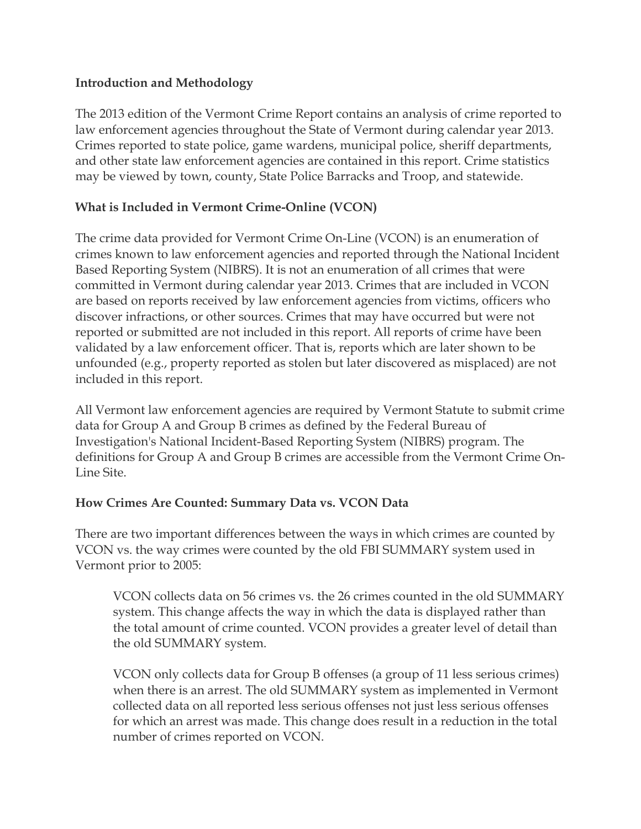### **Introduction and Methodology**

The 2013 edition of the Vermont Crime Report contains an analysis of crime reported to law enforcement agencies throughout the State of Vermont during calendar year 2013. Crimes reported to state police, game wardens, municipal police, sheriff departments, and other state law enforcement agencies are contained in this report. Crime statistics may be viewed by town, county, State Police Barracks and Troop, and statewide.

# **What is Included in Vermont Crime-Online (VCON)**

The crime data provided for Vermont Crime On-Line (VCON) is an enumeration of crimes known to law enforcement agencies and reported through the National Incident Based Reporting System (NIBRS). It is not an enumeration of all crimes that were committed in Vermont during calendar year 2013. Crimes that are included in VCON are based on reports received by law enforcement agencies from victims, officers who discover infractions, or other sources. Crimes that may have occurred but were not reported or submitted are not included in this report. All reports of crime have been validated by a law enforcement officer. That is, reports which are later shown to be unfounded (e.g., property reported as stolen but later discovered as misplaced) are not included in this report.

All Vermont law enforcement agencies are required by Vermont Statute to submit crime data for Group A and Group B crimes as defined by the Federal Bureau of Investigation's National Incident-Based Reporting System (NIBRS) program. The definitions for Group A and Group B crimes are accessible from the Vermont Crime On-Line Site.

### **How Crimes Are Counted: Summary Data vs. VCON Data**

There are two important differences between the ways in which crimes are counted by VCON vs. the way crimes were counted by the old FBI SUMMARY system used in Vermont prior to 2005:

VCON collects data on 56 crimes vs. the 26 crimes counted in the old SUMMARY system. This change affects the way in which the data is displayed rather than the total amount of crime counted. VCON provides a greater level of detail than the old SUMMARY system.

VCON only collects data for Group B offenses (a group of 11 less serious crimes) when there is an arrest. The old SUMMARY system as implemented in Vermont collected data on all reported less serious offenses not just less serious offenses for which an arrest was made. This change does result in a reduction in the total number of crimes reported on VCON.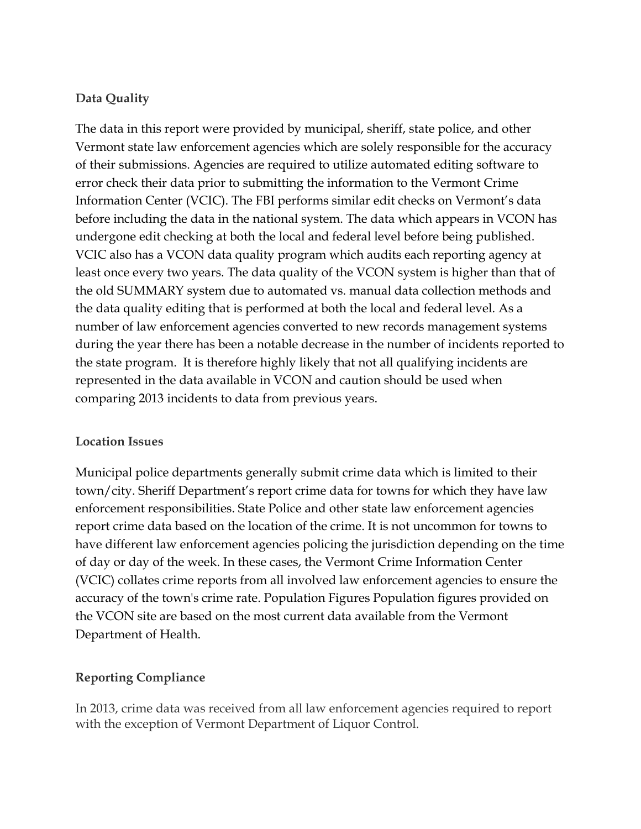# **Data Quality**

The data in this report were provided by municipal, sheriff, state police, and other Vermont state law enforcement agencies which are solely responsible for the accuracy of their submissions. Agencies are required to utilize automated editing software to error check their data prior to submitting the information to the Vermont Crime Information Center (VCIC). The FBI performs similar edit checks on Vermont's data before including the data in the national system. The data which appears in VCON has undergone edit checking at both the local and federal level before being published. VCIC also has a VCON data quality program which audits each reporting agency at least once every two years. The data quality of the VCON system is higher than that of the old SUMMARY system due to automated vs. manual data collection methods and the data quality editing that is performed at both the local and federal level. As a number of law enforcement agencies converted to new records management systems during the year there has been a notable decrease in the number of incidents reported to the state program. It is therefore highly likely that not all qualifying incidents are represented in the data available in VCON and caution should be used when comparing 2013 incidents to data from previous years.

#### **Location Issues**

Municipal police departments generally submit crime data which is limited to their town/city. Sheriff Department's report crime data for towns for which they have law enforcement responsibilities. State Police and other state law enforcement agencies report crime data based on the location of the crime. It is not uncommon for towns to have different law enforcement agencies policing the jurisdiction depending on the time of day or day of the week. In these cases, the Vermont Crime Information Center (VCIC) collates crime reports from all involved law enforcement agencies to ensure the accuracy of the town's crime rate. Population Figures Population figures provided on the VCON site are based on the most current data available from the Vermont Department of Health.

### **Reporting Compliance**

In 2013, crime data was received from all law enforcement agencies required to report with the exception of Vermont Department of Liquor Control.